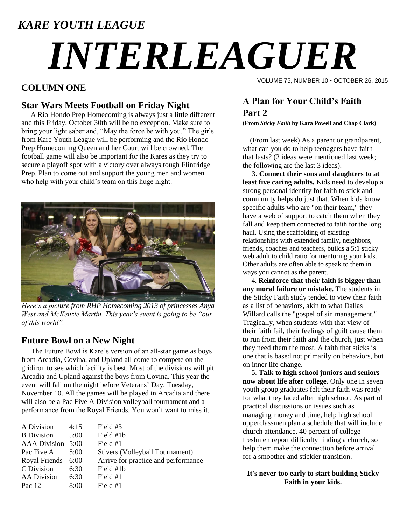### *KARE YOUTH LEAGUE*

# *INTERLEAGUER*

#### **COLUMN ONE**

#### **Star Wars Meets Football on Friday Night**

 A Rio Hondo Prep Homecoming is always just a little different and this Friday, October 30th will be no exception. Make sure to bring your light saber and, "May the force be with you." The girls from Kare Youth League will be performing and the Rio Hondo Prep Homecoming Queen and her Court will be crowned. The football game will also be important for the Kares as they try to secure a playoff spot with a victory over always tough Flintridge Prep. Plan to come out and support the young men and women who help with your child's team on this huge night.



*Here's a picture from RHP Homecoming 2013 of princesses Anya West and McKenzie Martin. This year's event is going to be "out of this world".*

#### **Future Bowl on a New Night**

The Future Bowl is Kare's version of an all-star game as boys from Arcadia, Covina, and Upland all come to compete on the gridiron to see which facility is best. Most of the divisions will pit Arcadia and Upland against the boys from Covina. This year the event will fall on the night before Veterans' Day, Tuesday, November 10. All the games will be played in Arcadia and there will also be a Pac Five A Division volleyball tournament and a performance from the Royal Friends. You won't want to miss it.

| 4:15 | Field #3                            |
|------|-------------------------------------|
| 5:00 | Field #1b                           |
|      | Field #1                            |
| 5:00 | Stivers (Volleyball Tournament)     |
| 6:00 | Arrive for practice and performance |
| 6:30 | Field #1b                           |
| 6:30 | Field #1                            |
| 8:00 | Field #1                            |
|      | AAA Division 5:00                   |

VOLUME 75, NUMBER 10 • OCTOBER 26, 2015

#### **A Plan for Your Child's Faith Part 2**

**(From** *Sticky Faith* **by Kara Powell and Chap Clark)**

 (From last week) As a parent or grandparent, what can you do to help teenagers have faith that lasts? (2 ideas were mentioned last week; the following are the last 3 ideas).

 3. **Connect their sons and daughters to at least five caring adults.** Kids need to develop a strong personal identity for faith to stick and community helps do just that. When kids know specific adults who are "on their team," they have a web of support to catch them when they fall and keep them connected to faith for the long haul. Using the scaffolding of existing relationships with extended family, neighbors, friends, coaches and teachers, builds a 5:1 sticky web adult to child ratio for mentoring your kids. Other adults are often able to speak to them in ways you cannot as the parent.

 4. **Reinforce that their faith is bigger than any moral failure or mistake.** The students in the Sticky Faith study tended to view their faith as a list of behaviors, akin to what Dallas Willard calls the "gospel of sin management." Tragically, when students with that view of their faith fail, their feelings of guilt cause them to run from their faith and the church, just when they need them the most. A faith that sticks is one that is based not primarily on behaviors, but on inner life change.

 5. **Talk to high school juniors and seniors now about life after college.** Only one in seven youth group graduates felt their faith was ready for what they faced after high school. As part of practical discussions on issues such as managing money and time, help high school upperclassmen plan a schedule that will include church attendance. 40 percent of college freshmen report difficulty finding a church, so help them make the connection before arrival for a smoother and stickier transition.

**It's never too early to start building Sticky Faith in your kids.**